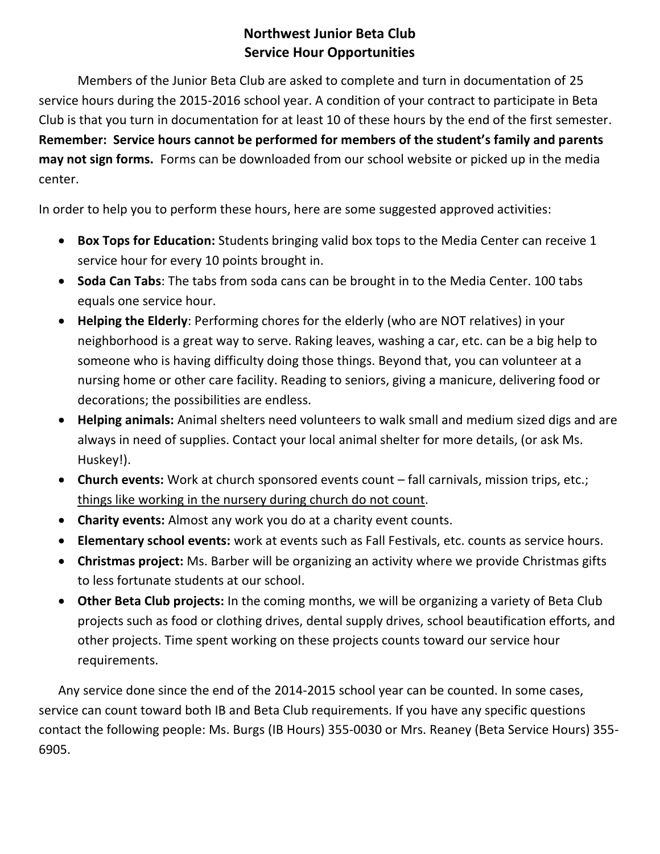## **Northwest Junior Beta Club Service Hour Opportunities**

Members of the Junior Beta Club are asked to complete and turn in documentation of 25 service hours during the 2015-2016 school year. A condition of your contract to participate in Beta Club is that you turn in documentation for at least 10 of these hours by the end of the first semester. **Remember: Service hours cannot be performed for members of the student's family and parents may not sign forms.** Forms can be downloaded from our school website or picked up in the media center.

In order to help you to perform these hours, here are some suggested approved activities:

- **Box Tops for Education:** Students bringing valid box tops to the Media Center can receive 1 service hour for every 10 points brought in.
- **Soda Can Tabs**: The tabs from soda cans can be brought in to the Media Center. 100 tabs equals one service hour.
- **Helping the Elderly**: Performing chores for the elderly (who are NOT relatives) in your neighborhood is a great way to serve. Raking leaves, washing a car, etc. can be a big help to someone who is having difficulty doing those things. Beyond that, you can volunteer at a nursing home or other care facility. Reading to seniors, giving a manicure, delivering food or decorations; the possibilities are endless.
- **Helping animals:** Animal shelters need volunteers to walk small and medium sized digs and are always in need of supplies. Contact your local animal shelter for more details, (or ask Ms. Huskey!).
- **Church events:** Work at church sponsored events count fall carnivals, mission trips, etc.; things like working in the nursery during church do not count.
- **Charity events:** Almost any work you do at a charity event counts.
- **Elementary school events:** work at events such as Fall Festivals, etc. counts as service hours.
- **Christmas project:** Ms. Barber will be organizing an activity where we provide Christmas gifts to less fortunate students at our school.
- **Other Beta Club projects:** In the coming months, we will be organizing a variety of Beta Club projects such as food or clothing drives, dental supply drives, school beautification efforts, and other projects. Time spent working on these projects counts toward our service hour requirements.

Any service done since the end of the 2014-2015 school year can be counted. In some cases, service can count toward both IB and Beta Club requirements. If you have any specific questions contact the following people: Ms. Burgs (IB Hours) 355-0030 or Mrs. Reaney (Beta Service Hours) 355- 6905.